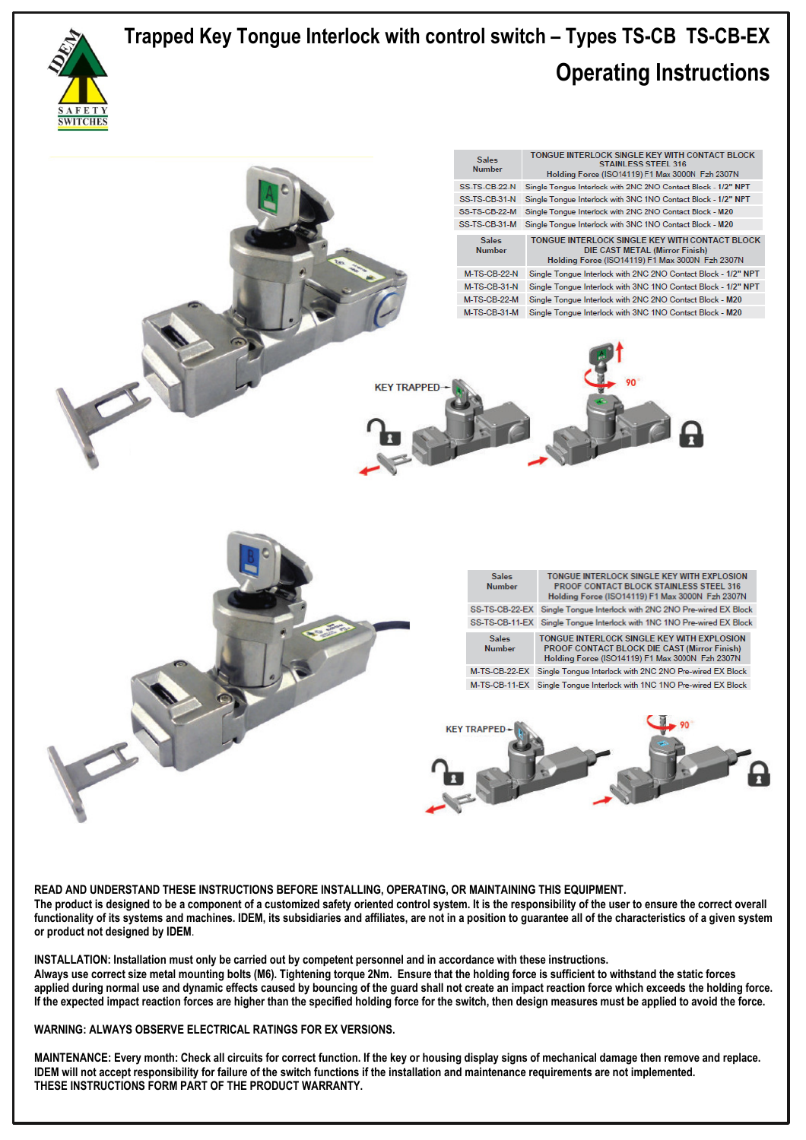

 **READ AND UNDERSTAND THESE INSTRUCTIONS BEFORE INSTALLING, OPERATING, OR MAINTAINING THIS EQUIPMENT. The product is designed to be a component of a customized safety oriented control system. It is the responsibility of the user to ensure the correct overall functionality of its systems and machines. IDEM, its subsidiaries and affiliates, are not in a position to guarantee all of the characteristics of a given system or product not designed by IDEM**.

**INSTALLATION: Installation must only be carried out by competent personnel and in accordance with these instructions. Always use correct size metal mounting bolts (M6). Tightening torque 2Nm. Ensure that the holding force is sufficient to withstand the static forces applied during normal use and dynamic effects caused by bouncing of the guard shall not create an impact reaction force which exceeds the holding force. If the expected impact reaction forces are higher than the specified holding force for the switch, then design measures must be applied to avoid the force.** 

**WARNING: ALWAYS OBSERVE ELECTRICAL RATINGS FOR EX VERSIONS.** 

**MAINTENANCE: Every month: Check all circuits for correct function. If the key or housing display signs of mechanical damage then remove and replace. IDEM will not accept responsibility for failure of the switch functions if the installation and maintenance requirements are not implemented. THESE INSTRUCTIONS FORM PART OF THE PRODUCT WARRANTY.**